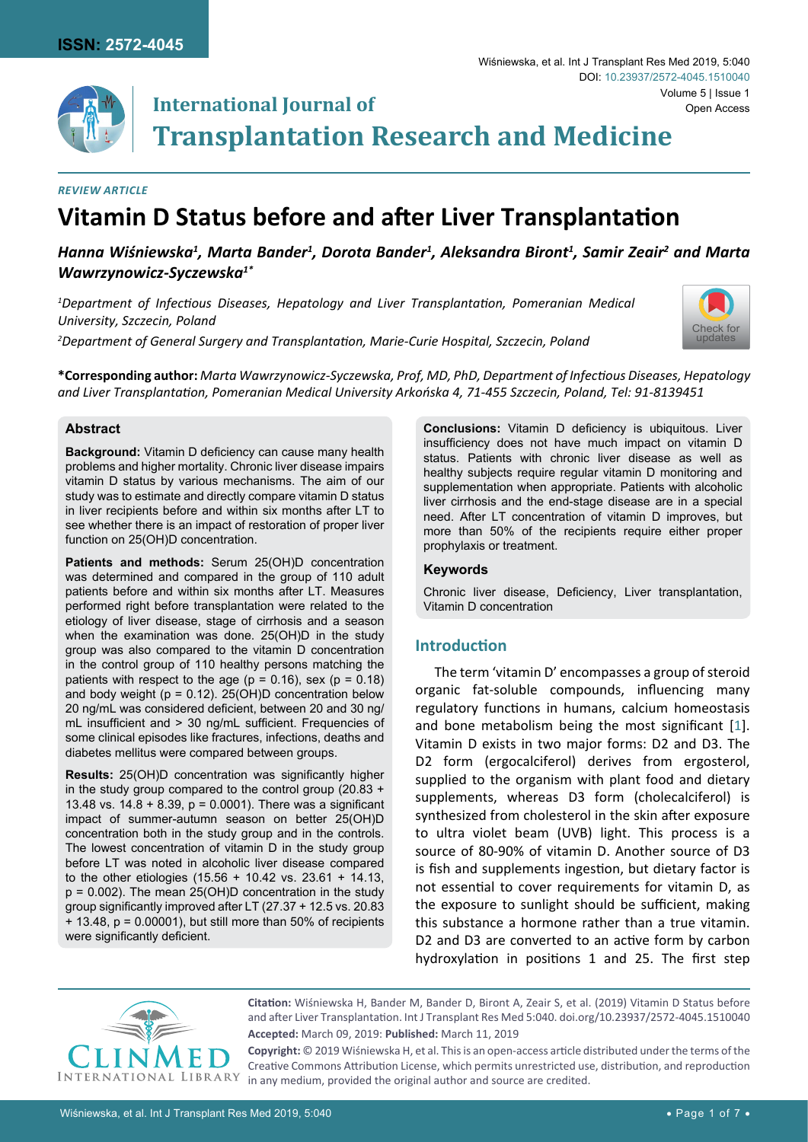

# **International Journal of Transplantation Research and Medicine**

### *Review Article*

# **Vitamin D Status before and after Liver Transplantation**

# *Hanna Wiśniewska<sup>1</sup> , Marta Bander<sup>1</sup> , Dorota Bander<sup>1</sup> , Aleksandra Biront<sup>1</sup> , Samir Zeair<sup>2</sup> and Marta Wawrzynowicz-Syczewska1\**

*1 Department of Infectious Diseases, Hepatology and Liver Transplantation, Pomeranian Medical University, Szczecin, Poland*

*2 Department of General Surgery and Transplantation, Marie-Curie Hospital, Szczecin, Poland*



**\*Corresponding author:** *Marta Wawrzynowicz-Syczewska, Prof, MD, PhD, Department of Infectious Diseases, Hepatology and Liver Transplantation, Pomeranian Medical University Arkońska 4, 71-455 Szczecin, Poland, Tel: 91-8139451*

## **Abstract**

**Background:** Vitamin D deficiency can cause many health problems and higher mortality. Chronic liver disease impairs vitamin D status by various mechanisms. The aim of our study was to estimate and directly compare vitamin D status in liver recipients before and within six months after LT to see whether there is an impact of restoration of proper liver function on 25(OH)D concentration.

**Patients and methods:** Serum 25(OH)D concentration was determined and compared in the group of 110 adult patients before and within six months after LT. Measures performed right before transplantation were related to the etiology of liver disease, stage of cirrhosis and a season when the examination was done. 25(OH)D in the study group was also compared to the vitamin D concentration in the control group of 110 healthy persons matching the patients with respect to the age ( $p = 0.16$ ), sex ( $p = 0.18$ ) and body weight ( $p = 0.12$ ). 25(OH)D concentration below 20 ng/mL was considered deficient, between 20 and 30 ng/ mL insufficient and > 30 ng/mL sufficient. Frequencies of some clinical episodes like fractures, infections, deaths and diabetes mellitus were compared between groups.

**Results:** 25(OH)D concentration was significantly higher in the study group compared to the control group (20.83 + 13.48 vs. 14.8 + 8.39, p = 0.0001). There was a significant impact of summer-autumn season on better 25(OH)D concentration both in the study group and in the controls. The lowest concentration of vitamin D in the study group before LT was noted in alcoholic liver disease compared to the other etiologies (15.56 + 10.42 vs. 23.61 + 14.13,  $p = 0.002$ ). The mean 25(OH)D concentration in the study group significantly improved after LT (27.37 + 12.5 vs. 20.83  $+$  13.48,  $p = 0.00001$ ), but still more than 50% of recipients were significantly deficient.

**Conclusions:** Vitamin D deficiency is ubiquitous. Liver insufficiency does not have much impact on vitamin D status. Patients with chronic liver disease as well as healthy subjects require regular vitamin D monitoring and supplementation when appropriate. Patients with alcoholic liver cirrhosis and the end-stage disease are in a special need. After LT concentration of vitamin D improves, but more than 50% of the recipients require either proper prophylaxis or treatment.

### **Keywords**

Chronic liver disease, Deficiency, Liver transplantation, Vitamin D concentration

# **Introduction**

The term 'vitamin D' encompasses a group of steroid organic fat-soluble compounds, influencing many regulatory functions in humans, calcium homeostasis and bone metabolism being the most significant [\[1\]](#page-6-0). Vitamin D exists in two major forms: D2 and D3. The D2 form (ergocalciferol) derives from ergosterol, supplied to the organism with plant food and dietary supplements, whereas D3 form (cholecalciferol) is synthesized from cholesterol in the skin after exposure to ultra violet beam (UVB) light. This process is a source of 80-90% of vitamin D. Another source of D3 is fish and supplements ingestion, but dietary factor is not essential to cover requirements for vitamin D, as the exposure to sunlight should be sufficient, making this substance a hormone rather than a true vitamin. D2 and D3 are converted to an active form by carbon hydroxylation in positions 1 and 25. The first step



**Citation:** Wiśniewska H, Bander M, Bander D, Biront A, Zeair S, et al. (2019) Vitamin D Status before and after Liver Transplantation. Int J Transplant Res Med 5:040. [doi.org/10.23937/2572-4045.1510040](https://doi.org/10.23937/2572-4045.1510040) **Accepted:** March 09, 2019: **Published:** March 11, 2019

**Copyright:** © 2019 Wiśniewska H, et al. This is an open-access article distributed under the terms of the Creative Commons Attribution License, which permits unrestricted use, distribution, and reproduction in any medium, provided the original author and source are credited.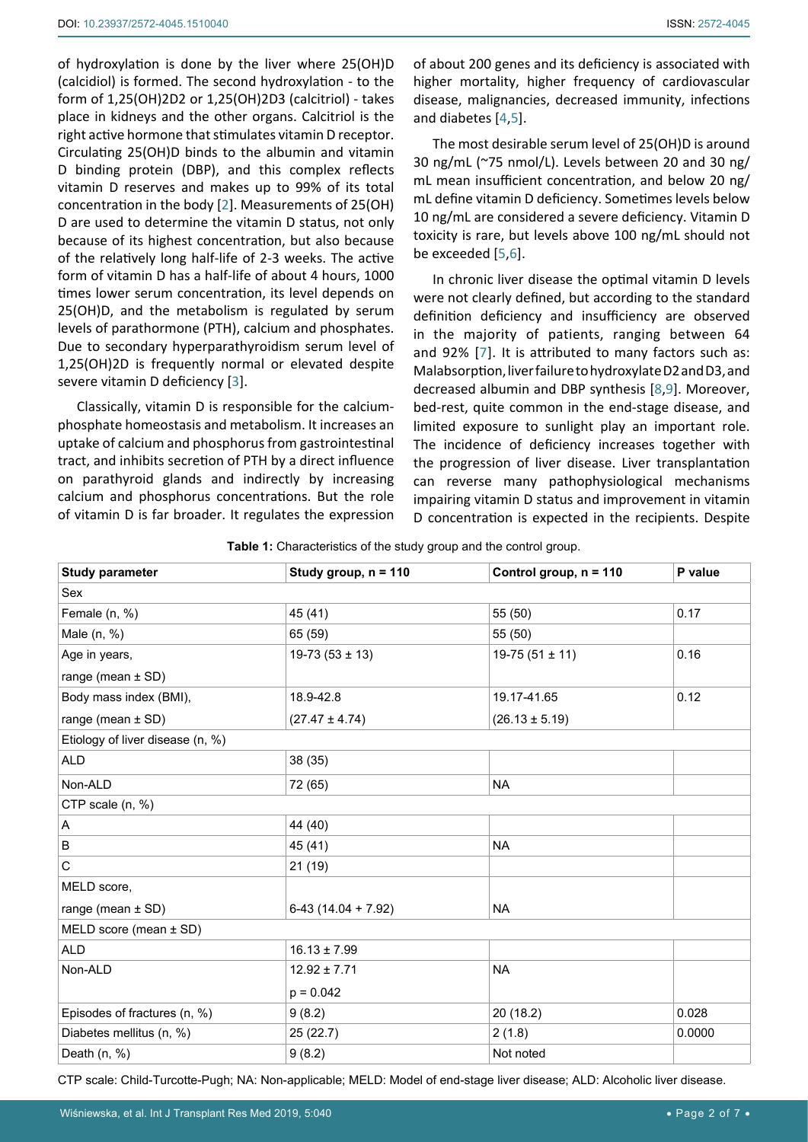of hydroxylation is done by the liver where 25(OH)D (calcidiol) is formed. The second hydroxylation - to the form of 1,25(OH)2D2 or 1,25(OH)2D3 (calcitriol) - takes place in kidneys and the other organs. Calcitriol is the right active hormone that stimulates vitamin D receptor. Circulating 25(OH)D binds to the albumin and vitamin D binding protein (DBP), and this complex reflects vitamin D reserves and makes up to 99% of its total concentration in the body [\[2\]](#page-6-7). Measurements of 25(OH) D are used to determine the vitamin D status, not only because of its highest concentration, but also because of the relatively long half-life of 2-3 weeks. The active form of vitamin D has a half-life of about 4 hours, 1000 times lower serum concentration, its level depends on 25(OH)D, and the metabolism is regulated by serum levels of parathormone (PTH), calcium and phosphates. Due to secondary hyperparathyroidism serum level of 1,25(OH)2D is frequently normal or elevated despite severe vitamin D deficiency [[3](#page-6-8)].

Classically, vitamin D is responsible for the calciumphosphate homeostasis and metabolism. It increases an uptake of calcium and phosphorus from gastrointestinal tract, and inhibits secretion of PTH by a direct influence on parathyroid glands and indirectly by increasing calcium and phosphorus concentrations. But the role of vitamin D is far broader. It regulates the expression

of about 200 genes and its deficiency is associated with higher mortality, higher frequency of cardiovascular disease, malignancies, decreased immunity, infections and diabetes [\[4,](#page-6-1)[5](#page-6-2)].

The most desirable serum level of 25(OH)D is around 30 ng/mL (~75 nmol/L). Levels between 20 and 30 ng/ mL mean insufficient concentration, and below 20 ng/ mL define vitamin D deficiency. Sometimes levels below 10 ng/mL are considered a severe deficiency. Vitamin D toxicity is rare, but levels above 100 ng/mL should not be exceeded [\[5,](#page-6-2)[6](#page-6-3)].

In chronic liver disease the optimal vitamin D levels were not clearly defined, but according to the standard definition deficiency and insufficiency are observed in the majority of patients, ranging between 64 and 92% [\[7](#page-6-4)]. It is attributed to many factors such as: Malabsorption, liver failure to hydroxylate D2 and D3, and decreased albumin and DBP synthesis [\[8,](#page-6-5)[9](#page-6-6)]. Moreover, bed-rest, quite common in the end-stage disease, and limited exposure to sunlight play an important role. The incidence of deficiency increases together with the progression of liver disease. Liver transplantation can reverse many pathophysiological mechanisms impairing vitamin D status and improvement in vitamin D concentration is expected in the recipients. Despite

<span id="page-1-0"></span>

| Table 1: Characteristics of the study group and the control group. |  |
|--------------------------------------------------------------------|--|
|--------------------------------------------------------------------|--|

| <b>Study parameter</b>           | Study group, $n = 110$ | Control group, $n = 110$ | P value |
|----------------------------------|------------------------|--------------------------|---------|
| Sex                              |                        |                          |         |
| Female (n, %)                    | 45 (41)                | 55 (50)                  | 0.17    |
| Male (n, %)                      | 65 (59)                | 55 (50)                  |         |
| Age in years,                    | $19-73(53 \pm 13)$     | $19-75(51 \pm 11)$       | 0.16    |
| range (mean $\pm$ SD)            |                        |                          |         |
| Body mass index (BMI),           | 18.9-42.8              | 19.17-41.65              | 0.12    |
| range (mean $\pm$ SD)            | $(27.47 \pm 4.74)$     | $(26.13 \pm 5.19)$       |         |
| Etiology of liver disease (n, %) |                        |                          |         |
| <b>ALD</b>                       | 38(35)                 |                          |         |
| Non-ALD                          | 72 (65)                | <b>NA</b>                |         |
| CTP scale (n, %)                 |                        |                          |         |
| A                                | 44 (40)                |                          |         |
| B                                | 45 (41)                | <b>NA</b>                |         |
| $\mathsf C$                      | 21(19)                 |                          |         |
| MELD score,                      |                        |                          |         |
| range (mean $\pm$ SD)            | $6-43(14.04 + 7.92)$   | <b>NA</b>                |         |
| MELD score (mean $\pm$ SD)       |                        |                          |         |
| <b>ALD</b>                       | $16.13 \pm 7.99$       |                          |         |
| Non-ALD                          | $12.92 \pm 7.71$       | <b>NA</b>                |         |
|                                  | $p = 0.042$            |                          |         |
| Episodes of fractures (n, %)     | 9(8.2)                 | 20 (18.2)                | 0.028   |
| Diabetes mellitus (n, %)         | 25(22.7)               | 2(1.8)                   | 0.0000  |
| Death $(n, %)$                   | 9(8.2)                 | Not noted                |         |

CTP scale: Child-Turcotte-Pugh; NA: Non-applicable; MELD: Model of end-stage liver disease; ALD: Alcoholic liver disease.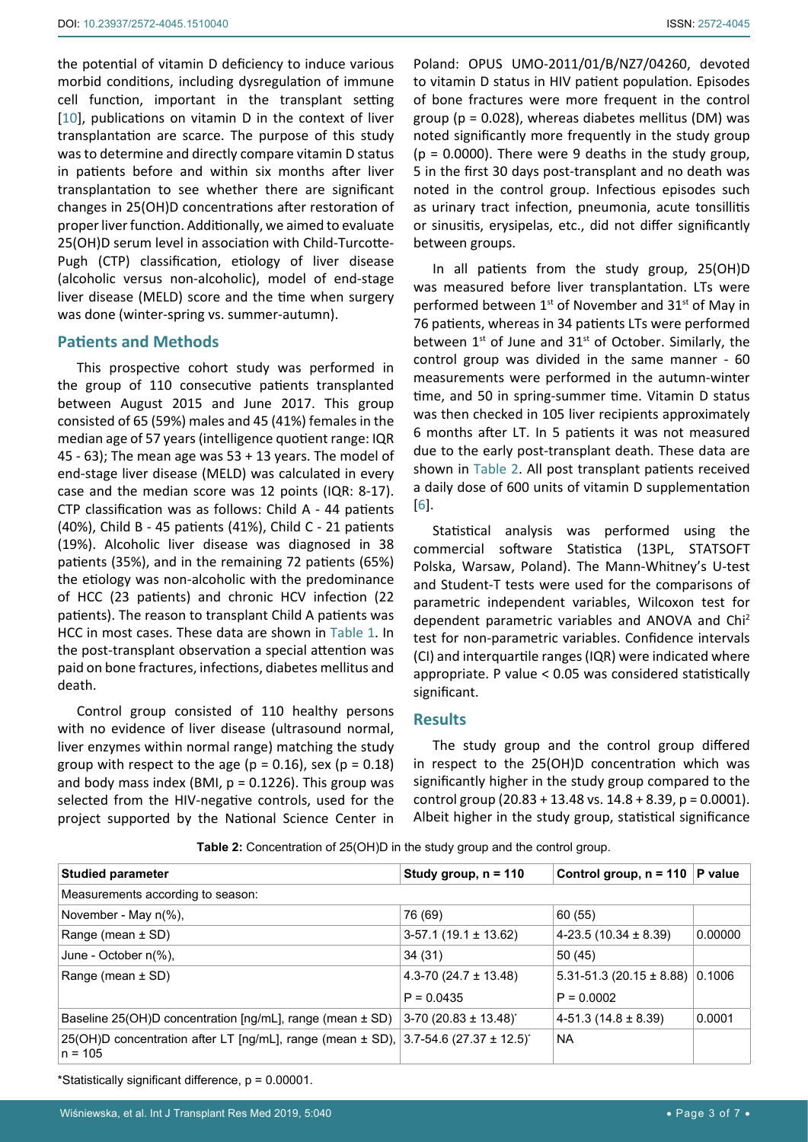the potential of vitamin D deficiency to induce various morbid conditions, including dysregulation of immune cell function, important in the transplant setting [[10\]](#page-6-9), publications on vitamin D in the context of liver transplantation are scarce. The purpose of this study was to determine and directly compare vitamin D status in patients before and within six months after liver transplantation to see whether there are significant changes in 25(OH)D concentrations after restoration of proper liver function. Additionally, we aimed to evaluate 25(OH)D serum level in association with Child-Turcotte-Pugh (CTP) classification, etiology of liver disease (alcoholic versus non-alcoholic), model of end-stage liver disease (MELD) score and the time when surgery was done (winter-spring vs. summer-autumn).

# **Patients and Methods**

This prospective cohort study was performed in the group of 110 consecutive patients transplanted between August 2015 and June 2017. This group consisted of 65 (59%) males and 45 (41%) females in the median age of 57 years (intelligence quotient range: IQR 45 - 63); The mean age was 53 + 13 years. The model of end-stage liver disease (MELD) was calculated in every case and the median score was 12 points (IQR: 8-17). CTP classification was as follows: Child A - 44 patients (40%), Child B - 45 patients (41%), Child C - 21 patients (19%). Alcoholic liver disease was diagnosed in 38 patients (35%), and in the remaining 72 patients (65%) the etiology was non-alcoholic with the predominance of HCC (23 patients) and chronic HCV infection (22 patients). The reason to transplant Child A patients was HCC in most cases. These data are shown in [Table 1](#page-1-0). In the post-transplant observation a special attention was paid on bone fractures, infections, diabetes mellitus and death.

Control group consisted of 110 healthy persons with no evidence of liver disease (ultrasound normal, liver enzymes within normal range) matching the study group with respect to the age ( $p = 0.16$ ), sex ( $p = 0.18$ ) and body mass index (BMI,  $p = 0.1226$ ). This group was selected from the HIV-negative controls, used for the project supported by the National Science Center in

Poland: OPUS UMO-2011/01/B/NZ7/04260, devoted to vitamin D status in HIV patient population. Episodes of bone fractures were more frequent in the control group ( $p = 0.028$ ), whereas diabetes mellitus (DM) was noted significantly more frequently in the study group  $(p = 0.0000)$ . There were 9 deaths in the study group, 5 in the first 30 days post-transplant and no death was noted in the control group. Infectious episodes such as urinary tract infection, pneumonia, acute tonsillitis or sinusitis, erysipelas, etc., did not differ significantly between groups.

In all patients from the study group, 25(OH)D was measured before liver transplantation. LTs were performed between 1<sup>st</sup> of November and 31<sup>st</sup> of May in 76 patients, whereas in 34 patients LTs were performed between  $1^{st}$  of June and  $31^{st}$  of October. Similarly, the control group was divided in the same manner - 60 measurements were performed in the autumn-winter time, and 50 in spring-summer time. Vitamin D status was then checked in 105 liver recipients approximately 6 months after LT. In 5 patients it was not measured due to the early post-transplant death. These data are shown in [Table 2](#page-2-0). All post transplant patients received a daily dose of 600 units of vitamin D supplementation [[6](#page-6-3)].

Statistical analysis was performed using the commercial software Statistica (13PL, STATSOFT Polska, Warsaw, Poland). The Mann-Whitney's U-test and Student-T tests were used for the comparisons of parametric independent variables, Wilcoxon test for dependent parametric variables and ANOVA and Chi2 test for non-parametric variables. Confidence intervals (CI) and interquartile ranges (IQR) were indicated where appropriate. P value < 0.05 was considered statistically significant.

### **Results**

The study group and the control group differed in respect to the 25(OH)D concentration which was significantly higher in the study group compared to the control group  $(20.83 + 13.48 \text{ vs. } 14.8 + 8.39)$ , p = 0.0001). Albeit higher in the study group, statistical significance

| <b>Studied parameter</b>                                                                                             | Study group, $n = 110$              | Control group, $n = 110$     | P value |
|----------------------------------------------------------------------------------------------------------------------|-------------------------------------|------------------------------|---------|
| Measurements according to season:                                                                                    |                                     |                              |         |
| November - May $n\%$ ),                                                                                              | 76 (69)                             | 60(55)                       |         |
| Range (mean $\pm$ SD)                                                                                                | $3-57.1(19.1 \pm 13.62)$            | $4-23.5(10.34 \pm 8.39)$     | 0.00000 |
| June - October n(%),                                                                                                 | 34(31)                              | 50(45)                       |         |
| Range (mean $\pm$ SD)                                                                                                | 4.3-70 (24.7 $\pm$ 13.48)           | $5.31 - 51.3$ (20.15 ± 8.88) | 0.1006  |
|                                                                                                                      | $P = 0.0435$                        | $P = 0.0002$                 |         |
| Baseline 25(OH)D concentration $\text{[ng/mL]}$ , range (mean $\pm$ SD)                                              | $3-70$ (20.83 ± 13.48) <sup>*</sup> | $4-51.3(14.8 \pm 8.39)$      | 0.0001  |
| 25(OH)D concentration after LT [ng/mL], range (mean $\pm$ SD), 3.7-54.6 (27.37 $\pm$ 12.5) <sup>*</sup><br>$n = 105$ |                                     | <b>NA</b>                    |         |

<span id="page-2-0"></span>**Table 2:** Concentration of 25(OH)D in the study group and the control group.

\*Statistically significant difference, p = 0.00001.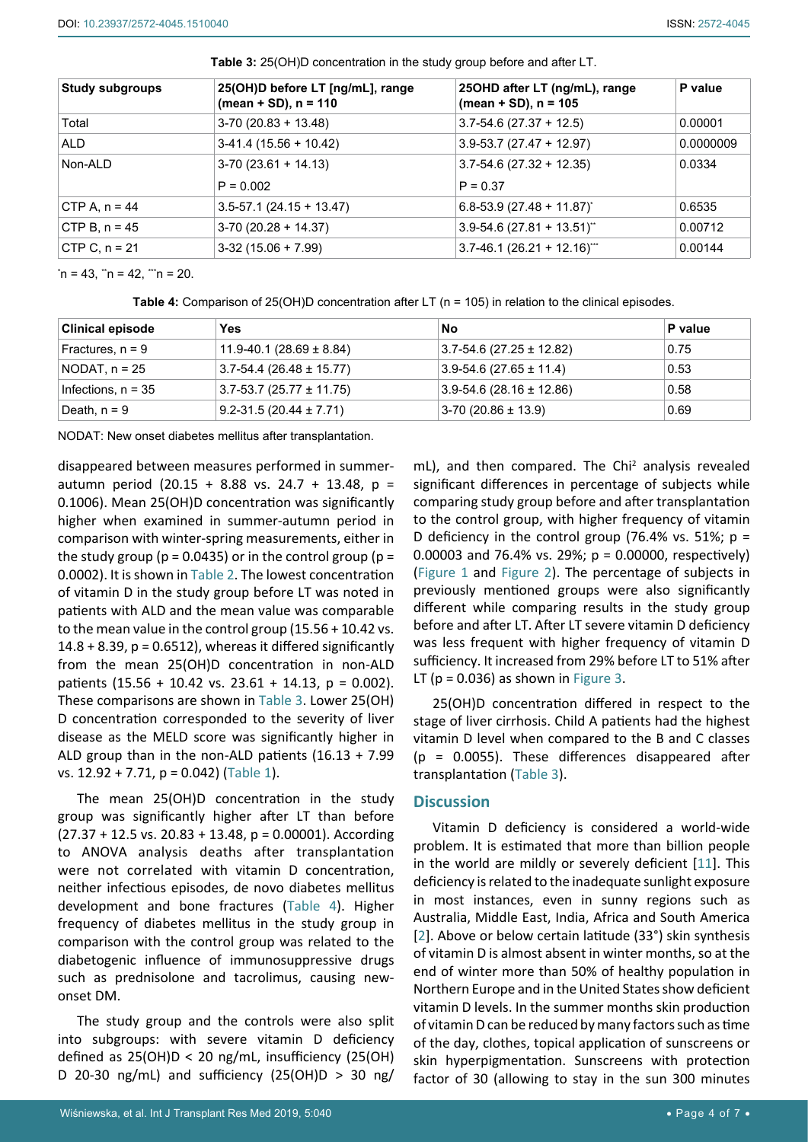| <b>Study subgroups</b> | 25(OH)D before LT [ng/mL], range<br>$(mean + SD)$ , n = 110 | 25OHD after LT (ng/mL), range<br>$(mean + SD)$ , n = 105 | P value   |
|------------------------|-------------------------------------------------------------|----------------------------------------------------------|-----------|
| Total                  | $3-70(20.83 + 13.48)$                                       | $3.7 - 54.6$ (27.37 + 12.5)                              | 0.00001   |
| ALD                    | $3-41.4(15.56 + 10.42)$                                     | $3.9 - 53.7 (27.47 + 12.97)$                             | 0.0000009 |
| Non-ALD                | $3-70(23.61 + 14.13)$                                       | $3.7 - 54.6$ (27.32 + 12.35)                             | 0.0334    |
|                        | $P = 0.002$                                                 | $P = 0.37$                                               |           |
| CTP A, $n = 44$        | $3.5 - 57.1$ (24.15 + 13.47)                                | $6.8 - 53.9$ (27.48 + 11.87) <sup>*</sup>                | 0.6535    |
| CTP B, $n = 45$        | $3-70(20.28 + 14.37)$                                       | $3.9 - 54.6$ (27.81 + 13.51) <sup>**</sup>               | 0.00712   |
| $CTP C, n = 21$        | $3-32(15.06 + 7.99)$                                        | $3.7 - 46.1 (26.21 + 12.16)$ <sup>***</sup>              | 0.00144   |

<span id="page-3-0"></span>**Table 3:** 25(OH)D concentration in the study group before and after LT.

\*n = 43, \*\*n = 42, \*\*\*n = 20.

<span id="page-3-1"></span>**Table 4:** Comparison of 25(OH)D concentration after LT (n = 105) in relation to the clinical episodes.

| <b>Clinical episode</b> | Yes                          | No                           | P value |
|-------------------------|------------------------------|------------------------------|---------|
| Fractures, $n = 9$      | 11.9-40.1 (28.69 $\pm$ 8.84) | $3.7 - 54.6$ (27.25 ± 12.82) | 0.75    |
| NODAT, $n = 25$         | $3.7 - 54.4$ (26.48 ± 15.77) | $3.9 - 54.6$ (27.65 ± 11.4)  | 0.53    |
| Infections, $n = 35$    | $3.7 - 53.7$ (25.77 ± 11.75) | $3.9 - 54.6$ (28.16 ± 12.86) | 0.58    |
| Death, $n = 9$          | $9.2 - 31.5(20.44 \pm 7.71)$ | $3-70(20.86 \pm 13.9)$       | 0.69    |

NODAT: New onset diabetes mellitus after transplantation.

disappeared between measures performed in summerautumn period (20.15 + 8.88 vs. 24.7 + 13.48, p = 0.1006). Mean 25(OH)D concentration was significantly higher when examined in summer-autumn period in comparison with winter-spring measurements, either in the study group ( $p = 0.0435$ ) or in the control group ( $p =$ 0.0002). It is shown in [Table 2.](#page-2-0) The lowest concentration of vitamin D in the study group before LT was noted in patients with ALD and the mean value was comparable to the mean value in the control group (15.56 + 10.42 vs.  $14.8 + 8.39$ ,  $p = 0.6512$ ), whereas it differed significantly from the mean 25(OH)D concentration in non-ALD patients  $(15.56 + 10.42 \text{ vs. } 23.61 + 14.13, \text{ p} = 0.002)$ . These comparisons are shown in [Table 3](#page-3-0). Lower 25(OH) D concentration corresponded to the severity of liver disease as the MELD score was significantly higher in ALD group than in the non-ALD patients (16.13 + 7.99 vs. 12.92 + 7.71, p = 0.042) ([Table 1](#page-1-0)).

The mean 25(OH)D concentration in the study group was significantly higher after LT than before  $(27.37 + 12.5 \text{ vs. } 20.83 + 13.48, p = 0.00001)$ . According to ANOVA analysis deaths after transplantation were not correlated with vitamin D concentration, neither infectious episodes, de novo diabetes mellitus development and bone fractures ([Table 4](#page-3-1)). Higher frequency of diabetes mellitus in the study group in comparison with the control group was related to the diabetogenic influence of immunosuppressive drugs such as prednisolone and tacrolimus, causing newonset DM.

The study group and the controls were also split into subgroups: with severe vitamin D deficiency defined as  $25(OH)D < 20$  ng/mL, insufficiency (25(OH) D 20-30 ng/mL) and sufficiency  $(25(OH)D > 30$  ng/

mL), and then compared. The Chi<sup>2</sup> analysis revealed significant differences in percentage of subjects while comparing study group before and after transplantation to the control group, with higher frequency of vitamin D deficiency in the control group (76.4% vs. 51%;  $p =$ 0.00003 and 76.4% vs. 29%; p = 0.00000, respectively) [\(Figure 1](#page-4-0) and [Figure 2\)](#page-4-1). The percentage of subjects in previously mentioned groups were also significantly different while comparing results in the study group before and after LT. After LT severe vitamin D deficiency was less frequent with higher frequency of vitamin D sufficiency. It increased from 29% before LT to 51% after LT ( $p = 0.036$ ) as shown in [Figure 3](#page-5-0).

25(OH)D concentration differed in respect to the stage of liver cirrhosis. Child A patients had the highest vitamin D level when compared to the B and C classes (p = 0.0055). These differences disappeared after transplantation [\(Table 3\)](#page-3-0).

#### **Discussion**

Vitamin D deficiency is considered a world-wide problem. It is estimated that more than billion people in the world are mildly or severely deficient [[11](#page-6-10)]. This deficiency is related to the inadequate sunlight exposure in most instances, even in sunny regions such as Australia, Middle East, India, Africa and South America [\[2\]](#page-6-7). Above or below certain latitude (33°) skin synthesis of vitamin D is almost absent in winter months, so at the end of winter more than 50% of healthy population in Northern Europe and in the United States show deficient vitamin D levels. In the summer months skin production of vitamin D can be reduced by many factors such as time of the day, clothes, topical application of sunscreens or skin hyperpigmentation. Sunscreens with protection factor of 30 (allowing to stay in the sun 300 minutes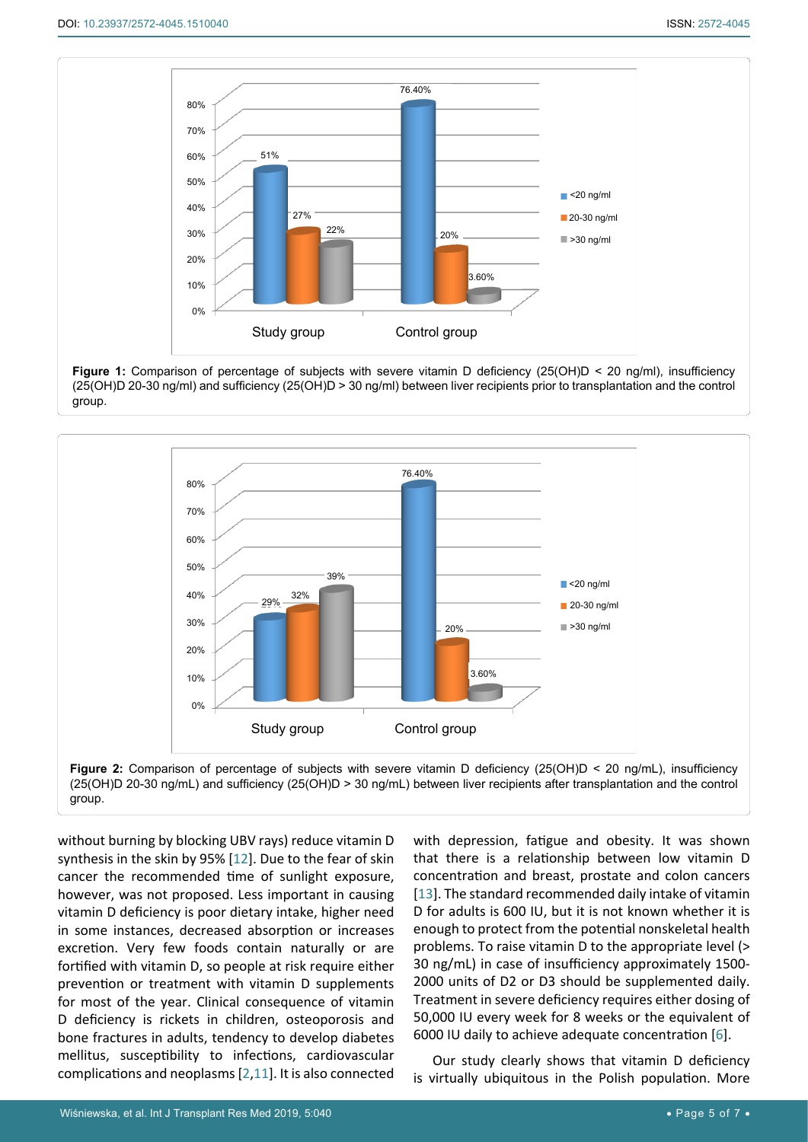<span id="page-4-0"></span>



<span id="page-4-1"></span>

without burning by blocking UBV rays) reduce vitamin D synthesis in the skin by 95% [[12](#page-6-12)]. Due to the fear of skin cancer the recommended time of sunlight exposure, however, was not proposed. Less important in causing vitamin D deficiency is poor dietary intake, higher need in some instances, decreased absorption or increases excretion. Very few foods contain naturally or are fortified with vitamin D, so people at risk require either prevention or treatment with vitamin D supplements for most of the year. Clinical consequence of vitamin D deficiency is rickets in children, osteoporosis and bone fractures in adults, tendency to develop diabetes mellitus, susceptibility to infections, cardiovascular complications and neoplasms [[2](#page-6-7)[,11](#page-6-10)]. It is also connected

with depression, fatigue and obesity. It was shown that there is a relationship between low vitamin D concentration and breast, prostate and colon cancers [\[13](#page-6-11)]. The standard recommended daily intake of vitamin D for adults is 600 IU, but it is not known whether it is enough to protect from the potential nonskeletal health problems. To raise vitamin D to the appropriate level (> 30 ng/mL) in case of insufficiency approximately 1500- 2000 units of D2 or D3 should be supplemented daily. Treatment in severe deficiency requires either dosing of 50,000 IU every week for 8 weeks or the equivalent of 6000 IU daily to achieve adequate concentration [[6](#page-6-3)].

Our study clearly shows that vitamin D deficiency is virtually ubiquitous in the Polish population. More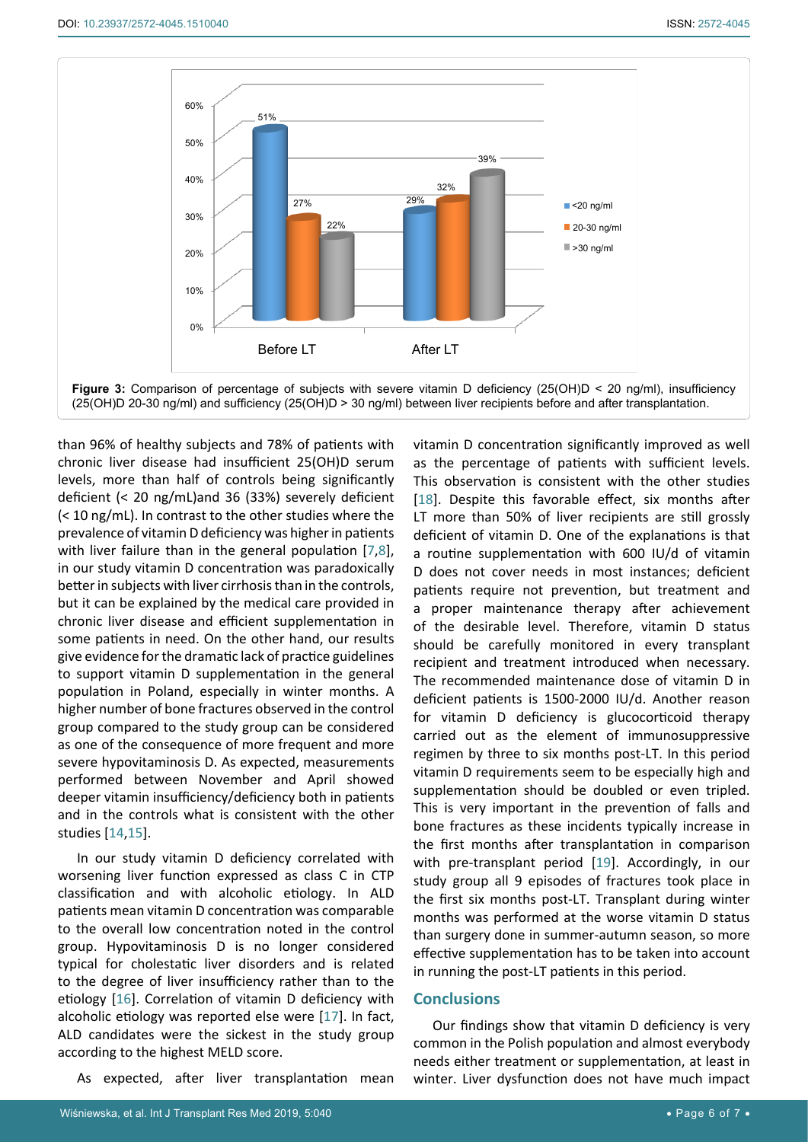<span id="page-5-0"></span>

than 96% of healthy subjects and 78% of patients with chronic liver disease had insufficient 25(OH)D serum levels, more than half of controls being significantly deficient (< 20 ng/mL)and 36 (33%) severely deficient (< 10 ng/mL). In contrast to the other studies where the prevalence of vitamin D deficiency was higher in patients with liver failure than in the general population [[7](#page-6-4),[8](#page-6-5)], in our study vitamin D concentration was paradoxically better in subjects with liver cirrhosis than in the controls, but it can be explained by the medical care provided in chronic liver disease and efficient supplementation in some patients in need. On the other hand, our results give evidence for the dramatic lack of practice guidelines to support vitamin D supplementation in the general population in Poland, especially in winter months. A higher number of bone fractures observed in the control group compared to the study group can be considered as one of the consequence of more frequent and more severe hypovitaminosis D. As expected, measurements performed between November and April showed deeper vitamin insufficiency/deficiency both in patients and in the controls what is consistent with the other studies [\[14](#page-6-15)[,15](#page-6-16)].

In our study vitamin D deficiency correlated with worsening liver function expressed as class C in CTP classification and with alcoholic etiology. In ALD patients mean vitamin D concentration was comparable to the overall low concentration noted in the control group. Hypovitaminosis D is no longer considered typical for cholestatic liver disorders and is related to the degree of liver insufficiency rather than to the etiology [[16\]](#page-6-17). Correlation of vitamin D deficiency with alcoholic etiology was reported else were [\[17\]](#page-6-18). In fact, ALD candidates were the sickest in the study group according to the highest MELD score.

As expected, after liver transplantation mean

vitamin D concentration significantly improved as well as the percentage of patients with sufficient levels. This observation is consistent with the other studies [\[18](#page-6-13)]. Despite this favorable effect, six months after LT more than 50% of liver recipients are still grossly deficient of vitamin D. One of the explanations is that a routine supplementation with 600 IU/d of vitamin D does not cover needs in most instances; deficient patients require not prevention, but treatment and a proper maintenance therapy after achievement of the desirable level. Therefore, vitamin D status should be carefully monitored in every transplant recipient and treatment introduced when necessary. The recommended maintenance dose of vitamin D in deficient patients is 1500-2000 IU/d. Another reason for vitamin D deficiency is glucocorticoid therapy carried out as the element of immunosuppressive regimen by three to six months post-LT. In this period vitamin D requirements seem to be especially high and supplementation should be doubled or even tripled. This is very important in the prevention of falls and bone fractures as these incidents typically increase in the first months after transplantation in comparison with pre-transplant period [\[19](#page-6-14)]. Accordingly, in our study group all 9 episodes of fractures took place in the first six months post-LT. Transplant during winter months was performed at the worse vitamin D status than surgery done in summer-autumn season, so more effective supplementation has to be taken into account in running the post-LT patients in this period.

# **Conclusions**

Our findings show that vitamin D deficiency is very common in the Polish population and almost everybody needs either treatment or supplementation, at least in winter. Liver dysfunction does not have much impact